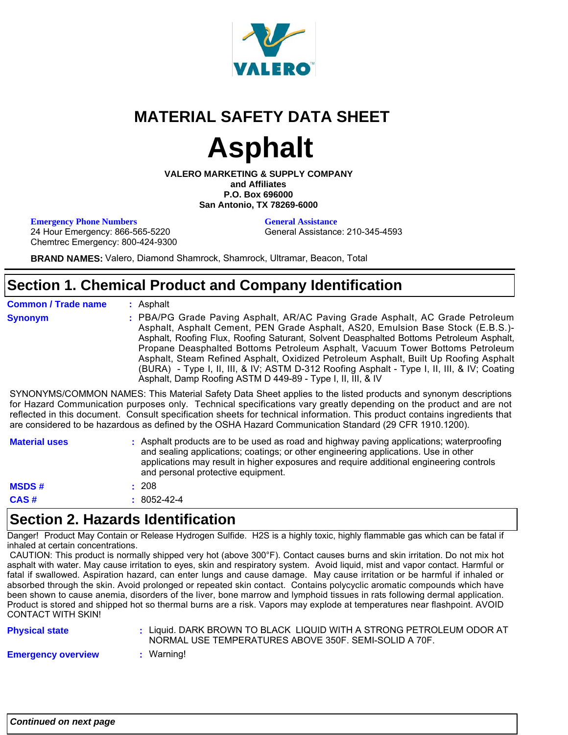

# **MATERIAL SAFETY DATA SHEET**

# **Asphalt**

**VALERO MARKETING & SUPPLY COMPANY and Affiliates P.O. Box 696000 San Antonio, TX 78269-6000**

**Emergency Phone Numbers General Assistance** 

General Assistance: 210-345-4593

24 Hour Emergency: 866-565-5220 Chemtrec Emergency: 800-424-9300

**BRAND NAMES:** Valero, Diamond Shamrock, Shamrock, Ultramar, Beacon, Total

### **Section 1. Chemical Product and Company Identification**

**Common / Trade name Synonym**

Asphalt **:**

PBA/PG Grade Paving Asphalt, AR/AC Paving Grade Asphalt, AC Grade Petroleum **:** Asphalt, Asphalt Cement, PEN Grade Asphalt, AS20, Emulsion Base Stock (E.B.S.)- Asphalt, Roofing Flux, Roofing Saturant, Solvent Deasphalted Bottoms Petroleum Asphalt, Propane Deasphalted Bottoms Petroleum Asphalt, Vacuum Tower Bottoms Petroleum Asphalt, Steam Refined Asphalt, Oxidized Petroleum Asphalt, Built Up Roofing Asphalt (BURA) - Type I, II, III, & IV; ASTM D-312 Roofing Asphalt - Type I, II, III, & IV; Coating Asphalt, Damp Roofing ASTM D 449-89 - Type I, II, III, & IV

SYNONYMS/COMMON NAMES: This Material Safety Data Sheet applies to the listed products and synonym descriptions for Hazard Communication purposes only. Technical specifications vary greatly depending on the product and are not reflected in this document. Consult specification sheets for technical information. This product contains ingredients that are considered to be hazardous as defined by the OSHA Hazard Communication Standard (29 CFR 1910.1200).

| <b>Material uses</b> | : Asphalt products are to be used as road and highway paving applications; waterproofing<br>and sealing applications; coatings; or other engineering applications. Use in other<br>applications may result in higher exposures and require additional engineering controls<br>and personal protective equipment. |
|----------------------|------------------------------------------------------------------------------------------------------------------------------------------------------------------------------------------------------------------------------------------------------------------------------------------------------------------|
| <b>MSDS#</b>         | - 208                                                                                                                                                                                                                                                                                                            |
| CAS#                 | $: 8052 - 42 - 4$                                                                                                                                                                                                                                                                                                |

### **Section 2. Hazards Identification**

Danger! Product May Contain or Release Hydrogen Sulfide. H2S is a highly toxic, highly flammable gas which can be fatal if inhaled at certain concentrations.

 CAUTION: This product is normally shipped very hot (above 300°F). Contact causes burns and skin irritation. Do not mix hot asphalt with water. May cause irritation to eyes, skin and respiratory system. Avoid liquid, mist and vapor contact. Harmful or fatal if swallowed. Aspiration hazard, can enter lungs and cause damage. May cause irritation or be harmful if inhaled or absorbed through the skin. Avoid prolonged or repeated skin contact. Contains polycyclic aromatic compounds which have been shown to cause anemia, disorders of the liver, bone marrow and lymphoid tissues in rats following dermal application. Product is stored and shipped hot so thermal burns are a risk. Vapors may explode at temperatures near flashpoint. AVOID CONTACT WITH SKIN!

| <b>Physical state</b>     |            | : Liquid. DARK BROWN TO BLACK LIQUID WITH A STRONG PETROLEUM ODOR AT<br>NORMAL USE TEMPERATURES ABOVE 350F, SEMI-SOLID A 70F. |
|---------------------------|------------|-------------------------------------------------------------------------------------------------------------------------------|
| <b>Emergency overview</b> | : Warning! |                                                                                                                               |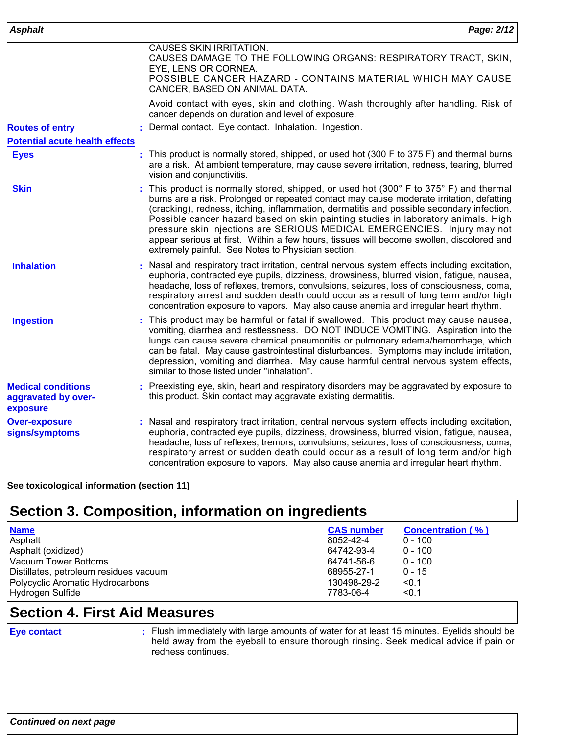| <b>Asphalt</b>                                               | Page: 2/12                                                                                                                                                                                                                                                                                                                                                                                                                                                                                                                                                                                        |
|--------------------------------------------------------------|---------------------------------------------------------------------------------------------------------------------------------------------------------------------------------------------------------------------------------------------------------------------------------------------------------------------------------------------------------------------------------------------------------------------------------------------------------------------------------------------------------------------------------------------------------------------------------------------------|
|                                                              | CAUSES SKIN IRRITATION.<br>CAUSES DAMAGE TO THE FOLLOWING ORGANS: RESPIRATORY TRACT, SKIN,<br>EYE, LENS OR CORNEA.<br>POSSIBLE CANCER HAZARD - CONTAINS MATERIAL WHICH MAY CAUSE<br>CANCER, BASED ON ANIMAL DATA.                                                                                                                                                                                                                                                                                                                                                                                 |
|                                                              | Avoid contact with eyes, skin and clothing. Wash thoroughly after handling. Risk of<br>cancer depends on duration and level of exposure.                                                                                                                                                                                                                                                                                                                                                                                                                                                          |
| <b>Routes of entry</b>                                       | Dermal contact. Eye contact. Inhalation. Ingestion.                                                                                                                                                                                                                                                                                                                                                                                                                                                                                                                                               |
| <b>Potential acute health effects</b>                        |                                                                                                                                                                                                                                                                                                                                                                                                                                                                                                                                                                                                   |
| <b>Eyes</b>                                                  | : This product is normally stored, shipped, or used hot (300 F to 375 F) and thermal burns<br>are a risk. At ambient temperature, may cause severe irritation, redness, tearing, blurred<br>vision and conjunctivitis.                                                                                                                                                                                                                                                                                                                                                                            |
| <b>Skin</b>                                                  | : This product is normally stored, shipped, or used hot (300° F to 375° F) and thermal<br>burns are a risk. Prolonged or repeated contact may cause moderate irritation, defatting<br>(cracking), redness, itching, inflammation, dermatitis and possible secondary infection.<br>Possible cancer hazard based on skin painting studies in laboratory animals. High<br>pressure skin injections are SERIOUS MEDICAL EMERGENCIES. Injury may not<br>appear serious at first. Within a few hours, tissues will become swollen, discolored and<br>extremely painful. See Notes to Physician section. |
| <b>Inhalation</b>                                            | Nasal and respiratory tract irritation, central nervous system effects including excitation,<br>euphoria, contracted eye pupils, dizziness, drowsiness, blurred vision, fatigue, nausea,<br>headache, loss of reflexes, tremors, convulsions, seizures, loss of consciousness, coma,<br>respiratory arrest and sudden death could occur as a result of long term and/or high<br>concentration exposure to vapors. May also cause anemia and irregular heart rhythm.                                                                                                                               |
| <b>Ingestion</b>                                             | This product may be harmful or fatal if swallowed. This product may cause nausea,<br>vomiting, diarrhea and restlessness. DO NOT INDUCE VOMITING. Aspiration into the<br>lungs can cause severe chemical pneumonitis or pulmonary edema/hemorrhage, which<br>can be fatal. May cause gastrointestinal disturbances. Symptoms may include irritation,<br>depression, vomiting and diarrhea. May cause harmful central nervous system effects,<br>similar to those listed under "inhalation".                                                                                                       |
| <b>Medical conditions</b><br>aggravated by over-<br>exposure | Preexisting eye, skin, heart and respiratory disorders may be aggravated by exposure to<br>this product. Skin contact may aggravate existing dermatitis.                                                                                                                                                                                                                                                                                                                                                                                                                                          |
| <b>Over-exposure</b><br>signs/symptoms                       | Nasal and respiratory tract irritation, central nervous system effects including excitation,<br>euphoria, contracted eye pupils, dizziness, drowsiness, blurred vision, fatigue, nausea,<br>headache, loss of reflexes, tremors, convulsions, seizures, loss of consciousness, coma,<br>respiratory arrest or sudden death could occur as a result of long term and/or high<br>concentration exposure to vapors. May also cause anemia and irregular heart rhythm.                                                                                                                                |

**See toxicological information (section 11)**

### **Section 3. Composition, information on ingredients**

| <b>Name</b>                            | <b>CAS number</b> | <b>Concentration (%)</b> |
|----------------------------------------|-------------------|--------------------------|
| Asphalt                                | 8052-42-4         | $0 - 100$                |
| Asphalt (oxidized)                     | 64742-93-4        | $0 - 100$                |
| Vacuum Tower Bottoms                   | 64741-56-6        | $0 - 100$                |
| Distillates, petroleum residues vacuum | 68955-27-1        | $0 - 15$                 |
| Polycyclic Aromatic Hydrocarbons       | 130498-29-2       | < 0.1                    |
| Hydrogen Sulfide                       | 7783-06-4         | < 0.1                    |

### **Section 4. First Aid Measures**

#### **Eye contact :**

Flush immediately with large amounts of water for at least 15 minutes. Eyelids should be held away from the eyeball to ensure thorough rinsing. Seek medical advice if pain or redness continues.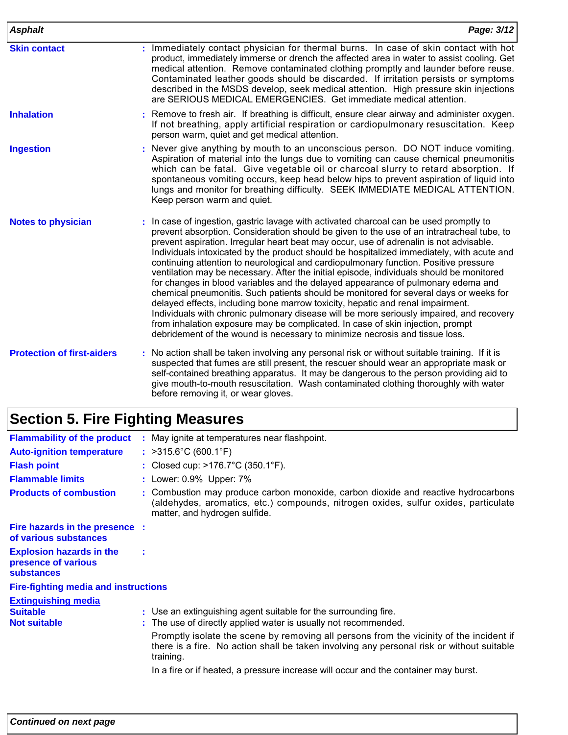| <b>Asphalt</b>                    | Page: 3/12                                                                                                                                                                                                                                                                                                                                                                                                                                                                                                                                                                                                                                                                                                                                                                                                                                                                                                                                                                                                                                                                                 |
|-----------------------------------|--------------------------------------------------------------------------------------------------------------------------------------------------------------------------------------------------------------------------------------------------------------------------------------------------------------------------------------------------------------------------------------------------------------------------------------------------------------------------------------------------------------------------------------------------------------------------------------------------------------------------------------------------------------------------------------------------------------------------------------------------------------------------------------------------------------------------------------------------------------------------------------------------------------------------------------------------------------------------------------------------------------------------------------------------------------------------------------------|
| <b>Skin contact</b>               | : Immediately contact physician for thermal burns. In case of skin contact with hot<br>product, immediately immerse or drench the affected area in water to assist cooling. Get<br>medical attention. Remove contaminated clothing promptly and launder before reuse.<br>Contaminated leather goods should be discarded. If irritation persists or symptoms<br>described in the MSDS develop, seek medical attention. High pressure skin injections<br>are SERIOUS MEDICAL EMERGENCIES. Get immediate medical attention.                                                                                                                                                                                                                                                                                                                                                                                                                                                                                                                                                                   |
| <b>Inhalation</b>                 | : Remove to fresh air. If breathing is difficult, ensure clear airway and administer oxygen.<br>If not breathing, apply artificial respiration or cardiopulmonary resuscitation. Keep<br>person warm, quiet and get medical attention.                                                                                                                                                                                                                                                                                                                                                                                                                                                                                                                                                                                                                                                                                                                                                                                                                                                     |
| <b>Ingestion</b>                  | : Never give anything by mouth to an unconscious person. DO NOT induce vomiting.<br>Aspiration of material into the lungs due to vomiting can cause chemical pneumonitis<br>which can be fatal. Give vegetable oil or charcoal slurry to retard absorption. If<br>spontaneous vomiting occurs, keep head below hips to prevent aspiration of liquid into<br>lungs and monitor for breathing difficulty. SEEK IMMEDIATE MEDICAL ATTENTION.<br>Keep person warm and quiet.                                                                                                                                                                                                                                                                                                                                                                                                                                                                                                                                                                                                                   |
| <b>Notes to physician</b>         | : In case of ingestion, gastric lavage with activated charcoal can be used promptly to<br>prevent absorption. Consideration should be given to the use of an intratracheal tube, to<br>prevent aspiration. Irregular heart beat may occur, use of adrenalin is not advisable.<br>Individuals intoxicated by the product should be hospitalized immediately, with acute and<br>continuing attention to neurological and cardiopulmonary function. Positive pressure<br>ventilation may be necessary. After the initial episode, individuals should be monitored<br>for changes in blood variables and the delayed appearance of pulmonary edema and<br>chemical pneumonitis. Such patients should be monitored for several days or weeks for<br>delayed effects, including bone marrow toxicity, hepatic and renal impairment.<br>Individuals with chronic pulmonary disease will be more seriously impaired, and recovery<br>from inhalation exposure may be complicated. In case of skin injection, prompt<br>debridement of the wound is necessary to minimize necrosis and tissue loss. |
| <b>Protection of first-aiders</b> | : No action shall be taken involving any personal risk or without suitable training. If it is<br>suspected that fumes are still present, the rescuer should wear an appropriate mask or<br>self-contained breathing apparatus. It may be dangerous to the person providing aid to<br>give mouth-to-mouth resuscitation. Wash contaminated clothing thoroughly with water<br>before removing it, or wear gloves.                                                                                                                                                                                                                                                                                                                                                                                                                                                                                                                                                                                                                                                                            |

# **Section 5. Fire Fighting Measures**

| <b>Flammability of the product</b>                                   | : May ignite at temperatures near flashpoint.                                                                                                                                                              |
|----------------------------------------------------------------------|------------------------------------------------------------------------------------------------------------------------------------------------------------------------------------------------------------|
| <b>Auto-ignition temperature</b>                                     | : $>315.6^{\circ}$ C (600.1°F)                                                                                                                                                                             |
| <b>Flash point</b>                                                   | : Closed cup: $>176.7^{\circ}$ C (350.1°F).                                                                                                                                                                |
| <b>Flammable limits</b>                                              | : Lower: 0.9% Upper: 7%                                                                                                                                                                                    |
| <b>Products of combustion</b>                                        | : Combustion may produce carbon monoxide, carbon dioxide and reactive hydrocarbons<br>(aldehydes, aromatics, etc.) compounds, nitrogen oxides, sulfur oxides, particulate<br>matter, and hydrogen sulfide. |
| Fire hazards in the presence :<br>of various substances              |                                                                                                                                                                                                            |
| <b>Explosion hazards in the</b><br>presence of various<br>substances | ÷                                                                                                                                                                                                          |
| <b>Fire-fighting media and instructions</b>                          |                                                                                                                                                                                                            |
| <b>Extinguishing media</b>                                           |                                                                                                                                                                                                            |
| <b>Suitable</b><br><b>Not suitable</b>                               | : Use an extinguishing agent suitable for the surrounding fire.<br>: The use of directly applied water is usually not recommended.                                                                         |
|                                                                      | Promptly isolate the scene by removing all persons from the vicinity of the incident if<br>there is a fire. No action shall be taken involving any personal risk or without suitable<br>training.          |
|                                                                      | In a fire or if heated, a pressure increase will occur and the container may burst.                                                                                                                        |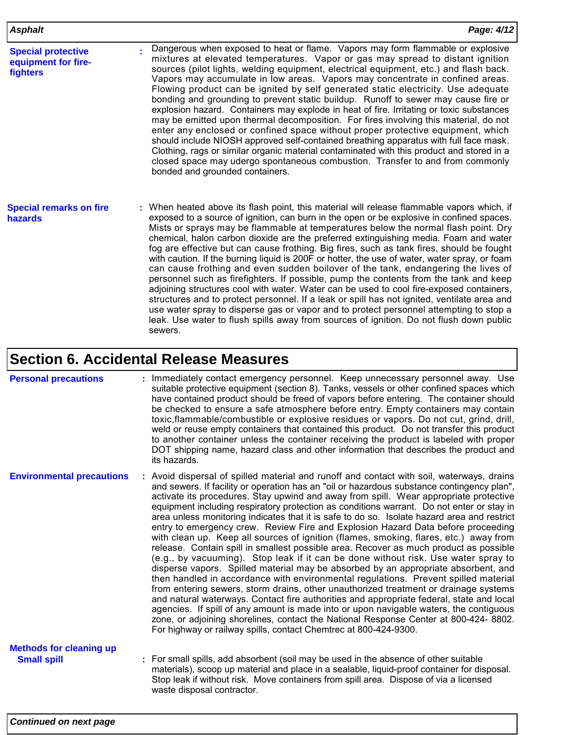| <b>Asphalt</b>                                               | Page: 4/12                                                                                                                                                                                                                                                                                                                                                                                                                                                                                                                                                                                                                                                                                                                                                                                                                                                                                                                                                                                                                                                                                                                                      |
|--------------------------------------------------------------|-------------------------------------------------------------------------------------------------------------------------------------------------------------------------------------------------------------------------------------------------------------------------------------------------------------------------------------------------------------------------------------------------------------------------------------------------------------------------------------------------------------------------------------------------------------------------------------------------------------------------------------------------------------------------------------------------------------------------------------------------------------------------------------------------------------------------------------------------------------------------------------------------------------------------------------------------------------------------------------------------------------------------------------------------------------------------------------------------------------------------------------------------|
| <b>Special protective</b><br>equipment for fire-<br>fighters | Dangerous when exposed to heat or flame. Vapors may form flammable or explosive<br>mixtures at elevated temperatures. Vapor or gas may spread to distant ignition<br>sources (pilot lights, welding equipment, electrical equipment, etc.) and flash back.<br>Vapors may accumulate in low areas. Vapors may concentrate in confined areas.<br>Flowing product can be ignited by self generated static electricity. Use adequate<br>bonding and grounding to prevent static buildup. Runoff to sewer may cause fire or<br>explosion hazard. Containers may explode in heat of fire. Irritating or toxic substances<br>may be emitted upon thermal decomposition. For fires involving this material, do not<br>enter any enclosed or confined space without proper protective equipment, which<br>should include NIOSH approved self-contained breathing apparatus with full face mask.<br>Clothing, rags or similar organic material contaminated with this product and stored in a<br>closed space may udergo spontaneous combustion. Transfer to and from commonly<br>bonded and grounded containers.                                         |
| <b>Special remarks on fire</b><br>hazards                    | When heated above its flash point, this material will release flammable vapors which, if<br>٠<br>exposed to a source of ignition, can burn in the open or be explosive in confined spaces.<br>Mists or sprays may be flammable at temperatures below the normal flash point. Dry<br>chemical, halon carbon dioxide are the preferred extinguishing media. Foam and water<br>fog are effective but can cause frothing. Big fires, such as tank fires, should be fought<br>with caution. If the burning liquid is 200F or hotter, the use of water, water spray, or foam<br>can cause frothing and even sudden boilover of the tank, endangering the lives of<br>personnel such as firefighters. If possible, pump the contents from the tank and keep<br>adjoining structures cool with water. Water can be used to cool fire-exposed containers,<br>structures and to protect personnel. If a leak or spill has not ignited, ventilate area and<br>use water spray to disperse gas or vapor and to protect personnel attempting to stop a<br>leak. Use water to flush spills away from sources of ignition. Do not flush down public<br>sewers. |

### **Section 6. Accidental Release Measures**

#### **Personal precautions :**

: Immediately contact emergency personnel. Keep unnecessary personnel away. Use suitable protective equipment (section 8). Tanks, vessels or other confined spaces which have contained product should be freed of vapors before entering. The container should be checked to ensure a safe atmosphere before entry. Empty containers may contain toxic,flammable/combustible or explosive residues or vapors. Do not cut, grind, drill, weld or reuse empty containers that contained this product. Do not transfer this product to another container unless the container receiving the product is labeled with proper DOT shipping name, hazard class and other information that describes the product and its hazards.

**Environmental precautions :** Avoid dispersal of spilled material and runoff and contact with soil, waterways, drains and sewers. If facility or operation has an "oil or hazardous substance contingency plan", activate its procedures. Stay upwind and away from spill. Wear appropriate protective equipment including respiratory protection as conditions warrant. Do not enter or stay in area unless monitoring indicates that it is safe to do so. Isolate hazard area and restrict entry to emergency crew. Review Fire and Explosion Hazard Data before proceeding with clean up. Keep all sources of ignition (flames, smoking, flares, etc.) away from release. Contain spill in smallest possible area. Recover as much product as possible (e.g., by vacuuming). Stop leak if it can be done without risk. Use water spray to disperse vapors. Spilled material may be absorbed by an appropriate absorbent, and then handled in accordance with environmental regulations. Prevent spilled material from entering sewers, storm drains, other unauthorized treatment or drainage systems and natural waterways. Contact fire authorities and appropriate federal, state and local agencies. If spill of any amount is made into or upon navigable waters, the contiguous zone, or adjoining shorelines, contact the National Response Center at 800-424- 8802. For highway or railway spills, contact Chemtrec at 800-424-9300.

# **Methods for cleaning up**

**Small spill Small spill :** For small spills, add absorbent (soil may be used in the absence of other suitable materials), scoop up material and place in a sealable, liquid-proof container for disposal. Stop leak if without risk. Move containers from spill area. Dispose of via a licensed waste disposal contractor.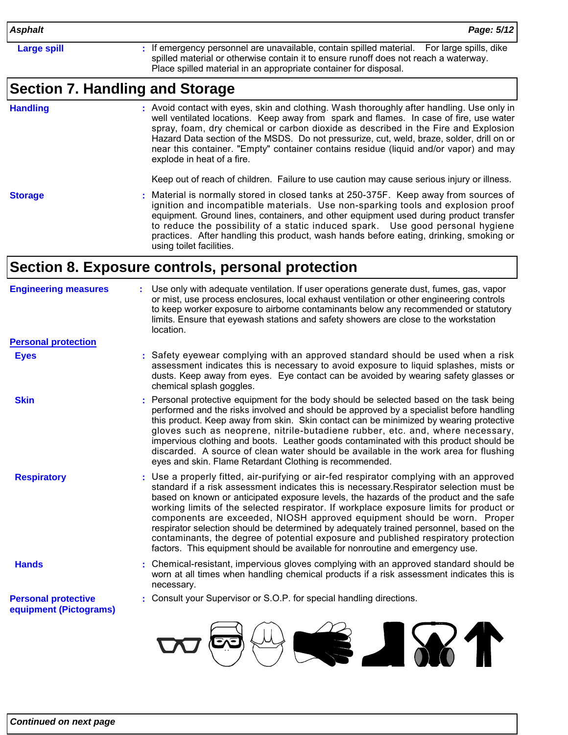**Large spill interpretence is a strain of the respectation** of the emaxailable, contain spilled material. For large spills, dike spilled material or otherwise contain it to ensure runoff does not reach a waterway. Place spilled material in an appropriate container for disposal.

### **Section 7. Handling and Storage**

**Handling**

Avoid contact with eyes, skin and clothing. Wash thoroughly after handling. Use only in **:** well ventilated locations. Keep away from spark and flames. In case of fire, use water spray, foam, dry chemical or carbon dioxide as described in the Fire and Explosion Hazard Data section of the MSDS. Do not pressurize, cut, weld, braze, solder, drill on or near this container. "Empty" container contains residue (liquid and/or vapor) and may explode in heat of a fire.

Keep out of reach of children. Failure to use caution may cause serious injury or illness.

**Storage**

Material is normally stored in closed tanks at 250-375F. Keep away from sources of **:** ignition and incompatible materials. Use non-sparking tools and explosion proof equipment. Ground lines, containers, and other equipment used during product transfer to reduce the possibility of a static induced spark. Use good personal hygiene practices. After handling this product, wash hands before eating, drinking, smoking or using toilet facilities.

### **Section 8. Exposure controls, personal protection**

| <b>Engineering measures</b>                          | Use only with adequate ventilation. If user operations generate dust, fumes, gas, vapor<br>or mist, use process enclosures, local exhaust ventilation or other engineering controls<br>to keep worker exposure to airborne contaminants below any recommended or statutory<br>limits. Ensure that eyewash stations and safety showers are close to the workstation<br>location.                                                                                                                                                                                                                                                                                                                                     |
|------------------------------------------------------|---------------------------------------------------------------------------------------------------------------------------------------------------------------------------------------------------------------------------------------------------------------------------------------------------------------------------------------------------------------------------------------------------------------------------------------------------------------------------------------------------------------------------------------------------------------------------------------------------------------------------------------------------------------------------------------------------------------------|
| <b>Personal protection</b>                           |                                                                                                                                                                                                                                                                                                                                                                                                                                                                                                                                                                                                                                                                                                                     |
| <b>Eyes</b>                                          | : Safety eyewear complying with an approved standard should be used when a risk<br>assessment indicates this is necessary to avoid exposure to liquid splashes, mists or<br>dusts. Keep away from eyes. Eye contact can be avoided by wearing safety glasses or<br>chemical splash goggles.                                                                                                                                                                                                                                                                                                                                                                                                                         |
| <b>Skin</b>                                          | Personal protective equipment for the body should be selected based on the task being<br>performed and the risks involved and should be approved by a specialist before handling<br>this product. Keep away from skin. Skin contact can be minimized by wearing protective<br>gloves such as neoprene, nitrile-butadiene rubber, etc. and, where necessary,<br>impervious clothing and boots. Leather goods contaminated with this product should be<br>discarded. A source of clean water should be available in the work area for flushing<br>eyes and skin. Flame Retardant Clothing is recommended.                                                                                                             |
| <b>Respiratory</b>                                   | Use a properly fitted, air-purifying or air-fed respirator complying with an approved<br>standard if a risk assessment indicates this is necessary. Respirator selection must be<br>based on known or anticipated exposure levels, the hazards of the product and the safe<br>working limits of the selected respirator. If workplace exposure limits for product or<br>components are exceeded, NIOSH approved equipment should be worn. Proper<br>respirator selection should be determined by adequately trained personnel, based on the<br>contaminants, the degree of potential exposure and published respiratory protection<br>factors. This equipment should be available for nonroutine and emergency use. |
| <b>Hands</b>                                         | Chemical-resistant, impervious gloves complying with an approved standard should be<br>worn at all times when handling chemical products if a risk assessment indicates this is<br>necessary.                                                                                                                                                                                                                                                                                                                                                                                                                                                                                                                       |
| <b>Personal protective</b><br>equipment (Pictograms) | : Consult your Supervisor or S.O.P. for special handling directions.                                                                                                                                                                                                                                                                                                                                                                                                                                                                                                                                                                                                                                                |
|                                                      |                                                                                                                                                                                                                                                                                                                                                                                                                                                                                                                                                                                                                                                                                                                     |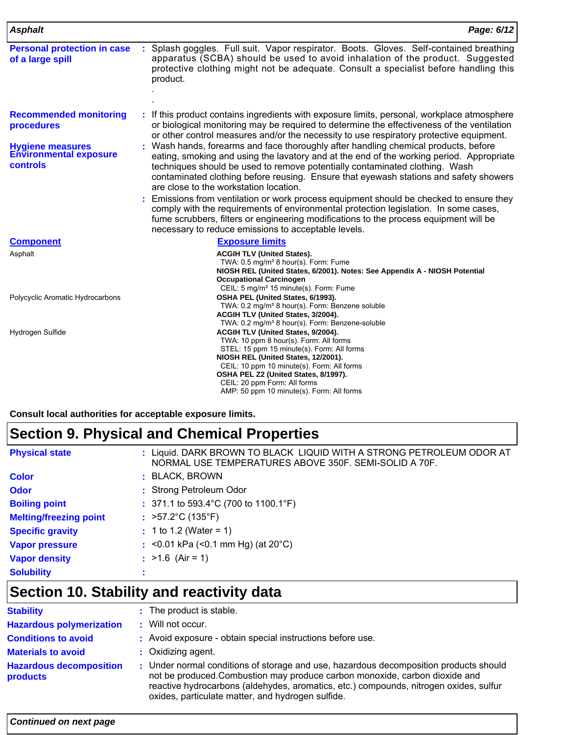| <b>Asphalt</b>                                                       | Page: 6/12                                                                                                                                                                                                                                                                                                                                                                                                                                                                                                                                                                                                                                                                                                                           |
|----------------------------------------------------------------------|--------------------------------------------------------------------------------------------------------------------------------------------------------------------------------------------------------------------------------------------------------------------------------------------------------------------------------------------------------------------------------------------------------------------------------------------------------------------------------------------------------------------------------------------------------------------------------------------------------------------------------------------------------------------------------------------------------------------------------------|
| <b>Personal protection in case</b><br>of a large spill               | : Splash goggles. Full suit. Vapor respirator. Boots. Gloves. Self-contained breathing<br>apparatus (SCBA) should be used to avoid inhalation of the product. Suggested<br>protective clothing might not be adequate. Consult a specialist before handling this<br>product.                                                                                                                                                                                                                                                                                                                                                                                                                                                          |
| <b>Recommended monitoring</b><br>procedures                          | : If this product contains ingredients with exposure limits, personal, workplace atmosphere<br>or biological monitoring may be required to determine the effectiveness of the ventilation<br>or other control measures and/or the necessity to use respiratory protective equipment.                                                                                                                                                                                                                                                                                                                                                                                                                                                 |
| <b>Hygiene measures</b><br><b>Environmental exposure</b><br>controls | : Wash hands, forearms and face thoroughly after handling chemical products, before<br>eating, smoking and using the lavatory and at the end of the working period. Appropriate<br>techniques should be used to remove potentially contaminated clothing. Wash<br>contaminated clothing before reusing. Ensure that eyewash stations and safety showers<br>are close to the workstation location.<br>: Emissions from ventilation or work process equipment should be checked to ensure they<br>comply with the requirements of environmental protection legislation. In some cases,<br>fume scrubbers, filters or engineering modifications to the process equipment will be<br>necessary to reduce emissions to acceptable levels. |
| <b>Component</b>                                                     | <b>Exposure limits</b>                                                                                                                                                                                                                                                                                                                                                                                                                                                                                                                                                                                                                                                                                                               |
| Asphalt                                                              | <b>ACGIH TLV (United States).</b><br>TWA: 0.5 mg/m <sup>3</sup> 8 hour(s). Form: Fume<br>NIOSH REL (United States, 6/2001). Notes: See Appendix A - NIOSH Potential<br><b>Occupational Carcinogen</b><br>CEIL: 5 mg/m <sup>3</sup> 15 minute(s). Form: Fume                                                                                                                                                                                                                                                                                                                                                                                                                                                                          |
| Polycyclic Aromatic Hydrocarbons                                     | OSHA PEL (United States, 6/1993).<br>TWA: 0.2 mg/m <sup>3</sup> 8 hour(s). Form: Benzene soluble<br>ACGIH TLV (United States, 3/2004).<br>TWA: 0.2 mg/m <sup>3</sup> 8 hour(s). Form: Benzene-soluble                                                                                                                                                                                                                                                                                                                                                                                                                                                                                                                                |
| Hydrogen Sulfide                                                     | ACGIH TLV (United States, 9/2004).<br>TWA: 10 ppm 8 hour(s). Form: All forms<br>STEL: 15 ppm 15 minute(s). Form: All forms<br>NIOSH REL (United States, 12/2001).<br>CEIL: 10 ppm 10 minute(s). Form: All forms<br>OSHA PEL Z2 (United States, 8/1997).<br>CEIL: 20 ppm Form: All forms<br>AMP: 50 ppm 10 minute(s). Form: All forms                                                                                                                                                                                                                                                                                                                                                                                                 |

**Consult local authorities for acceptable exposure limits.**

# **Section 9. Physical and Chemical Properties**

| <b>Physical state</b>         | : Liquid. DARK BROWN TO BLACK LIQUID WITH A STRONG PETROLEUM ODOR AT<br>NORMAL USE TEMPERATURES ABOVE 350F. SEMI-SOLID A 70F. |
|-------------------------------|-------------------------------------------------------------------------------------------------------------------------------|
| <b>Color</b>                  | : BLACK, BROWN                                                                                                                |
| <b>Odor</b>                   | : Strong Petroleum Odor                                                                                                       |
| <b>Boiling point</b>          | : 371.1 to 593.4 °C (700 to 1100.1 °F)                                                                                        |
| <b>Melting/freezing point</b> | : $>57.2^{\circ}C(135^{\circ}F)$                                                                                              |
| <b>Specific gravity</b>       | $: 1$ to 1.2 (Water = 1)                                                                                                      |
| <b>Vapor pressure</b>         | : <0.01 kPa (<0.1 mm Hg) (at $20^{\circ}$ C)                                                                                  |
| <b>Vapor density</b>          | : $>1.6$ (Air = 1)                                                                                                            |
| <b>Solubility</b>             |                                                                                                                               |

# **Section 10. Stability and reactivity data**

| <b>Stability</b>                           | : The product is stable.                                                                                                                                                                                                                                                                                           |  |
|--------------------------------------------|--------------------------------------------------------------------------------------------------------------------------------------------------------------------------------------------------------------------------------------------------------------------------------------------------------------------|--|
| <b>Hazardous polymerization</b>            | : Will not occur.                                                                                                                                                                                                                                                                                                  |  |
| <b>Conditions to avoid</b>                 | : Avoid exposure - obtain special instructions before use.                                                                                                                                                                                                                                                         |  |
| <b>Materials to avoid</b>                  | : Oxidizing agent.                                                                                                                                                                                                                                                                                                 |  |
| <b>Hazardous decomposition</b><br>products | : Under normal conditions of storage and use, hazardous decomposition products should<br>not be produced. Combustion may produce carbon monoxide, carbon dioxide and<br>reactive hydrocarbons (aldehydes, aromatics, etc.) compounds, nitrogen oxides, sulfur<br>oxides, particulate matter, and hydrogen sulfide. |  |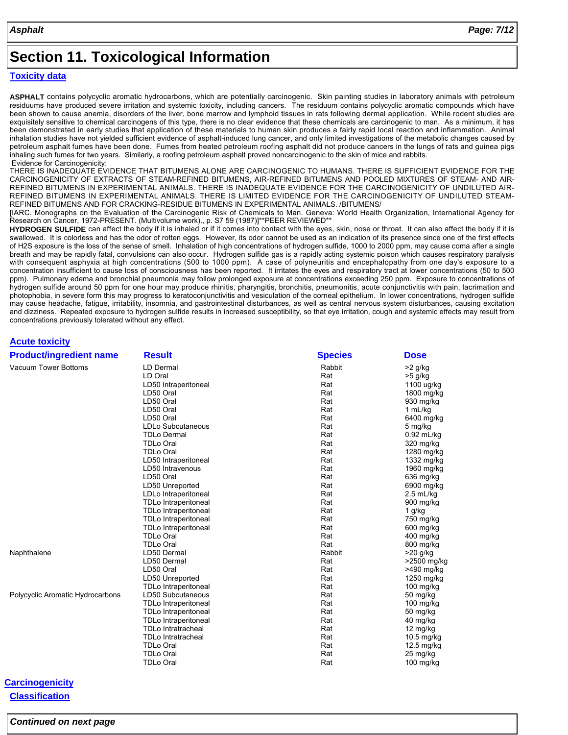### **Section 11. Toxicological Information**

#### **Toxicity data**

**ASPHALT** contains polycyclic aromatic hydrocarbons, which are potentially carcinogenic. Skin painting studies in laboratory animals with petroleum residuums have produced severe irritation and systemic toxicity, including cancers. The residuum contains polycyclic aromatic compounds which have been shown to cause anemia, disorders of the liver, bone marrow and lymphoid tissues in rats following dermal application. While rodent studies are exquisitely sensitive to chemical carcinogens of this type, there is no clear evidence that these chemicals are carcinogenic to man. As a minimum, it has been demonstrated in early studies that application of these materials to human skin produces a fairly rapid local reaction and inflammation. Animal inhalation studies have not yielded sufficient evidence of asphalt-induced lung cancer, and only limited investigations of the metabolic changes caused by petroleum asphalt fumes have been done. Fumes from heated petroleum roofing asphalt did not produce cancers in the lungs of rats and guinea pigs inhaling such fumes for two years. Similarly, a roofing petroleum asphalt proved noncarcinogenic to the skin of mice and rabbits. Evidence for Carcinogenicity:

THERE IS INADEQUATE EVIDENCE THAT BITUMENS ALONE ARE CARCINOGENIC TO HUMANS. THERE IS SUFFICIENT EVIDENCE FOR THE CARCINOGENICITY OF EXTRACTS OF STEAM-REFINED BITUMENS, AIR-REFINED BITUMENS AND POOLED MIXTURES OF STEAM- AND AIR-REFINED BITUMENS IN EXPERIMENTAL ANIMALS. THERE IS INADEQUATE EVIDENCE FOR THE CARCINOGENICITY OF UNDILUTED AIR-REFINED BITUMENS IN EXPERIMENTAL ANIMALS. THERE IS LIMITED EVIDENCE FOR THE CARCINOGENICITY OF UNDILUTED STEAM-REFINED BITUMENS AND FOR CRACKING-RESIDUE BITUMENS IN EXPERIMENTAL ANIMALS. /BITUMENS/

[IARC. Monographs on the Evaluation of the Carcinogenic Risk of Chemicals to Man. Geneva: World Health Organization, International Agency for Research on Cancer, 1972-PRESENT. (Multivolume work)., p. S7 59 (1987)]\*\*PEER REVIEWED\*

**HYDROGEN SULFIDE** can affect the body if it is inhaled or if it comes into contact with the eyes, skin, nose or throat. It can also affect the body if it is swallowed. It is colorless and has the odor of rotten eggs. However, its odor cannot be used as an indication of its presence since one of the first effects of H2S exposure is the loss of the sense of smell. Inhalation of high concentrations of hydrogen sulfide, 1000 to 2000 ppm, may cause coma after a single breath and may be rapidly fatal, convulsions can also occur. Hydrogen sulfide gas is a rapidly acting systemic poison which causes respiratory paralysis with consequent asphyxia at high concentrations (500 to 1000 ppm). A case of polyneuritis and encephalopathy from one day's exposure to a concentration insufficient to cause loss of consciousness has been reported. It irritates the eyes and respiratory tract at lower concentrations (50 to 500 ppm). Pulmonary edema and bronchial pneumonia may follow prolonged exposure at concentrations exceeding 250 ppm. Exposure to concentrations of hydrogen sulfide around 50 ppm for one hour may produce rhinitis, pharyngitis, bronchitis, pneumonitis, acute conjunctivitis with pain, lacrimation and photophobia, in severe form this may progress to keratoconjunctivitis and vesiculation of the corneal epithelium. In lower concentrations, hydrogen sulfide may cause headache, fatigue, irritability, insomnia, and gastrointestinal disturbances, as well as central nervous system disturbances, causing excitation and dizziness. Repeated exposure to hydrogen sulfide results in increased susceptibility, so that eye irritation, cough and systemic effects may result from concentrations previously tolerated without any effect.

#### **Acute toxicity**

| <b>Product/ingredient name</b>   | <b>Result</b>               | <b>Species</b> | <b>Dose</b>  |
|----------------------------------|-----------------------------|----------------|--------------|
| Vacuum Tower Bottoms             | LD Dermal                   | Rabbit         | >2 g/kg      |
|                                  | LD Oral                     | Rat            | >5 g/kg      |
|                                  | LD50 Intraperitoneal        | Rat            | 1100 ug/kg   |
|                                  | LD50 Oral                   | Rat            | 1800 mg/kg   |
|                                  | LD50 Oral                   | Rat            | 930 mg/kg    |
|                                  | LD50 Oral                   | Rat            | 1 mL/kg      |
|                                  | LD50 Oral                   | Rat            | 6400 mg/kg   |
|                                  | LDLo Subcutaneous           | Rat            | 5 mg/kg      |
|                                  | <b>TDLo Dermal</b>          | Rat            | $0.92$ mL/kg |
|                                  | <b>TDLo Oral</b>            | Rat            | 320 mg/kg    |
|                                  | <b>TDLo Oral</b>            | Rat            | 1280 mg/kg   |
|                                  | LD50 Intraperitoneal        | Rat            | 1332 mg/kg   |
|                                  | LD50 Intravenous            | Rat            | 1960 mg/kg   |
|                                  | LD50 Oral                   | Rat            | 636 mg/kg    |
|                                  | LD50 Unreported             | Rat            | 6900 mg/kg   |
|                                  | LDLo Intraperitoneal        | Rat            | $2.5$ mL/kg  |
|                                  | <b>TDLo Intraperitoneal</b> | Rat            | 900 mg/kg    |
|                                  | <b>TDLo Intraperitoneal</b> | Rat            | 1 g/kg       |
|                                  | TDLo Intraperitoneal        | Rat            | 750 mg/kg    |
|                                  | <b>TDLo Intraperitoneal</b> | Rat            | 600 mg/kg    |
|                                  | <b>TDLo Oral</b>            | Rat            | 400 mg/kg    |
|                                  | <b>TDLo Oral</b>            | Rat            | 800 mg/kg    |
| Naphthalene                      | LD50 Dermal                 | Rabbit         | >20 g/kg     |
|                                  | LD50 Dermal                 | Rat            | >2500 mg/kg  |
|                                  | LD50 Oral                   | Rat            | >490 mg/kg   |
|                                  | LD50 Unreported             | Rat            | 1250 mg/kg   |
|                                  | <b>TDLo Intraperitoneal</b> | Rat            | 100 mg/kg    |
| Polycyclic Aromatic Hydrocarbons | LD50 Subcutaneous           | Rat            | 50 mg/kg     |
|                                  | TDLo Intraperitoneal        | Rat            | 100 mg/kg    |
|                                  | <b>TDLo Intraperitoneal</b> | Rat            | 50 mg/kg     |
|                                  | <b>TDLo Intraperitoneal</b> | Rat            | 40 mg/kg     |
|                                  | <b>TDLo Intratracheal</b>   | Rat            | 12 mg/kg     |
|                                  | <b>TDLo Intratracheal</b>   | Rat            | 10.5 mg/kg   |
|                                  | <b>TDLo Oral</b>            | Rat            | 12.5 mg/kg   |
|                                  | <b>TDLo Oral</b>            | Rat            | 25 mg/kg     |
|                                  | <b>TDLo Oral</b>            | Rat            | 100 mg/kg    |

### **Carcinogenicity**

**Classification**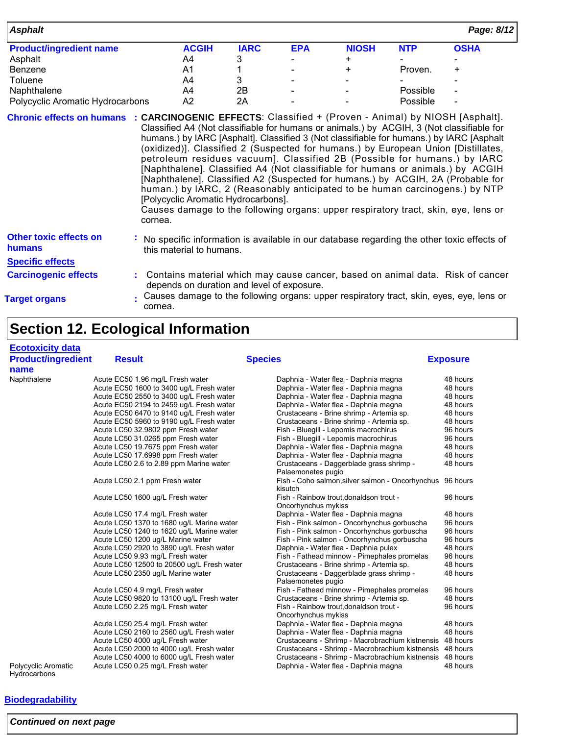| <b>Asphalt</b>                                                                                                  |                                                                                                                                                                                                                                                                                                                                                                                                                                                                                                                                                                                                                                                                                                                                          |             |            |              |            | Page: 8/12  |
|-----------------------------------------------------------------------------------------------------------------|------------------------------------------------------------------------------------------------------------------------------------------------------------------------------------------------------------------------------------------------------------------------------------------------------------------------------------------------------------------------------------------------------------------------------------------------------------------------------------------------------------------------------------------------------------------------------------------------------------------------------------------------------------------------------------------------------------------------------------------|-------------|------------|--------------|------------|-------------|
| <b>Product/ingredient name</b>                                                                                  | <b>ACGIH</b>                                                                                                                                                                                                                                                                                                                                                                                                                                                                                                                                                                                                                                                                                                                             | <b>IARC</b> | <b>EPA</b> | <b>NIOSH</b> | <b>NTP</b> | <b>OSHA</b> |
| Asphalt                                                                                                         | A4                                                                                                                                                                                                                                                                                                                                                                                                                                                                                                                                                                                                                                                                                                                                       | 3           |            | $+$          |            |             |
| Benzene                                                                                                         | A1                                                                                                                                                                                                                                                                                                                                                                                                                                                                                                                                                                                                                                                                                                                                       |             |            | $\ddot{}$    | Proven.    | $\ddot{}$   |
| Toluene                                                                                                         | A4                                                                                                                                                                                                                                                                                                                                                                                                                                                                                                                                                                                                                                                                                                                                       | 3           |            |              |            |             |
| Naphthalene                                                                                                     | A4                                                                                                                                                                                                                                                                                                                                                                                                                                                                                                                                                                                                                                                                                                                                       | 2B          |            |              | Possible   |             |
| Polycyclic Aromatic Hydrocarbons                                                                                | A2                                                                                                                                                                                                                                                                                                                                                                                                                                                                                                                                                                                                                                                                                                                                       | 2A          |            |              | Possible   |             |
| Chronic effects on humans : CARCINOGENIC EFFECTS: Classified + (Proven - Animal) by NIOSH [Asphalt].<br>cornea. | Classified A4 (Not classifiable for humans or animals.) by ACGIH, 3 (Not classifiable for<br>humans.) by IARC [Asphalt]. Classified 3 (Not classifiable for humans.) by IARC [Asphalt<br>(oxidized)]. Classified 2 (Suspected for humans.) by European Union [Distillates,<br>petroleum residues vacuum]. Classified 2B (Possible for humans.) by IARC<br>[Naphthalene]. Classified A4 (Not classifiable for humans or animals.) by ACGIH<br>[Naphthalene]. Classified A2 (Suspected for humans.) by ACGIH, 2A (Probable for<br>human.) by IARC, 2 (Reasonably anticipated to be human carcinogens.) by NTP<br>[Polycyclic Aromatic Hydrocarbons].<br>Causes damage to the following organs: upper respiratory tract, skin, eye, lens or |             |            |              |            |             |
| <b>Other toxic effects on</b><br>humans                                                                         | No specific information is available in our database regarding the other toxic effects of<br>this material to humans.                                                                                                                                                                                                                                                                                                                                                                                                                                                                                                                                                                                                                    |             |            |              |            |             |

**Specific effects**

- **Carcinogenic effects** : Contains material which may cause cancer, based on animal data. Risk of cancer depends on duration and level of exposure.
- **Target organs**
- Causes damage to the following organs: upper respiratory tract, skin, eyes, eye, lens or **:** cornea.

## **Section 12. Ecological Information**

| <b>Ecotoxicity data</b>             |                                            |                                                                      |                 |
|-------------------------------------|--------------------------------------------|----------------------------------------------------------------------|-----------------|
| <b>Product/ingredient</b>           | <b>Result</b>                              | <b>Species</b>                                                       | <b>Exposure</b> |
| name                                |                                            |                                                                      |                 |
| Naphthalene                         | Acute EC50 1.96 mg/L Fresh water           | Daphnia - Water flea - Daphnia magna                                 | 48 hours        |
|                                     | Acute EC50 1600 to 3400 ug/L Fresh water   | Daphnia - Water flea - Daphnia magna                                 | 48 hours        |
|                                     | Acute EC50 2550 to 3400 ug/L Fresh water   | Daphnia - Water flea - Daphnia magna                                 | 48 hours        |
|                                     | Acute EC50 2194 to 2459 ug/L Fresh water   | Daphnia - Water flea - Daphnia magna                                 | 48 hours        |
|                                     | Acute EC50 6470 to 9140 ug/L Fresh water   | Crustaceans - Brine shrimp - Artemia sp.                             | 48 hours        |
|                                     | Acute EC50 5960 to 9190 ug/L Fresh water   | Crustaceans - Brine shrimp - Artemia sp.                             | 48 hours        |
|                                     | Acute LC50 32.9802 ppm Fresh water         | Fish - Bluegill - Lepomis macrochirus                                | 96 hours        |
|                                     | Acute LC50 31.0265 ppm Fresh water         | Fish - Bluegill - Lepomis macrochirus                                | 96 hours        |
|                                     | Acute LC50 19.7675 ppm Fresh water         | Daphnia - Water flea - Daphnia magna                                 | 48 hours        |
|                                     | Acute LC50 17.6998 ppm Fresh water         | Daphnia - Water flea - Daphnia magna                                 | 48 hours        |
|                                     | Acute LC50 2.6 to 2.89 ppm Marine water    | Crustaceans - Daggerblade grass shrimp -<br>Palaemonetes pugio       | 48 hours        |
|                                     | Acute LC50 2.1 ppm Fresh water             | Fish - Coho salmon, silver salmon - Oncorhynchus 96 hours<br>kisutch |                 |
|                                     | Acute LC50 1600 ug/L Fresh water           | Fish - Rainbow trout, donaldson trout -<br>Oncorhynchus mykiss       | 96 hours        |
|                                     | Acute LC50 17.4 mg/L Fresh water           | Daphnia - Water flea - Daphnia magna                                 | 48 hours        |
|                                     | Acute LC50 1370 to 1680 ug/L Marine water  | Fish - Pink salmon - Oncorhynchus gorbuscha                          | 96 hours        |
|                                     | Acute LC50 1240 to 1620 ug/L Marine water  | Fish - Pink salmon - Oncorhynchus gorbuscha                          | 96 hours        |
|                                     | Acute LC50 1200 ug/L Marine water          | Fish - Pink salmon - Oncorhynchus gorbuscha                          | 96 hours        |
|                                     | Acute LC50 2920 to 3890 ug/L Fresh water   | Daphnia - Water flea - Daphnia pulex                                 | 48 hours        |
|                                     | Acute LC50 9.93 mg/L Fresh water           | Fish - Fathead minnow - Pimephales promelas                          | 96 hours        |
|                                     | Acute LC50 12500 to 20500 ug/L Fresh water | Crustaceans - Brine shrimp - Artemia sp.                             | 48 hours        |
|                                     | Acute LC50 2350 ug/L Marine water          | Crustaceans - Daggerblade grass shrimp -<br>Palaemonetes pugio       | 48 hours        |
|                                     | Acute LC50 4.9 mg/L Fresh water            | Fish - Fathead minnow - Pimephales promelas                          | 96 hours        |
|                                     | Acute LC50 9820 to 13100 ug/L Fresh water  | Crustaceans - Brine shrimp - Artemia sp.                             | 48 hours        |
|                                     | Acute LC50 2.25 mg/L Fresh water           | Fish - Rainbow trout, donaldson trout -<br>Oncorhynchus mykiss       | 96 hours        |
|                                     | Acute LC50 25.4 mg/L Fresh water           | Daphnia - Water flea - Daphnia magna                                 | 48 hours        |
|                                     | Acute LC50 2160 to 2560 ug/L Fresh water   | Daphnia - Water flea - Daphnia magna                                 | 48 hours        |
|                                     | Acute LC50 4000 ug/L Fresh water           | Crustaceans - Shrimp - Macrobrachium kistnensis 48 hours             |                 |
|                                     | Acute LC50 2000 to 4000 ug/L Fresh water   | Crustaceans - Shrimp - Macrobrachium kistnensis 48 hours             |                 |
|                                     | Acute LC50 4000 to 6000 ug/L Fresh water   | Crustaceans - Shrimp - Macrobrachium kistnensis 48 hours             |                 |
| Polycyclic Aromatic<br>Hydrocarbons | Acute LC50 0.25 mg/L Fresh water           | Daphnia - Water flea - Daphnia magna                                 | 48 hours        |

### **Biodegradability**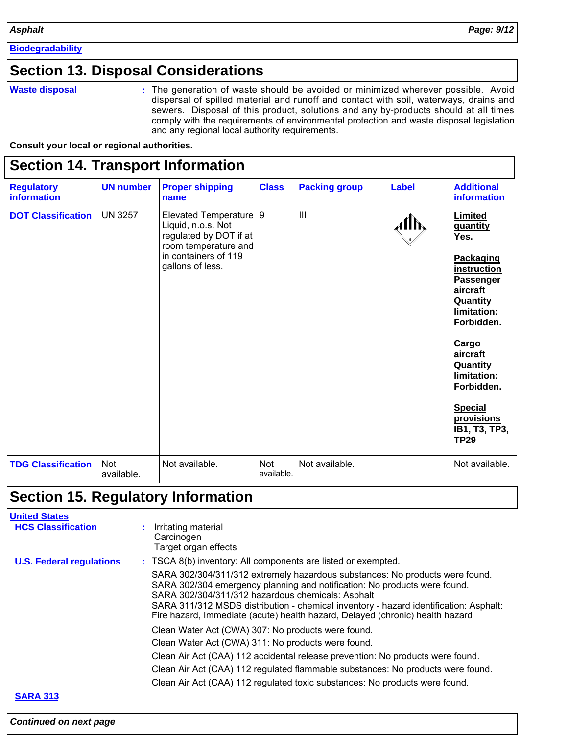**Biodegradability**

### **Section 13. Disposal Considerations**

#### **Waste disposal**

The generation of waste should be avoided or minimized wherever possible. Avoid **:** dispersal of spilled material and runoff and contact with soil, waterways, drains and sewers. Disposal of this product, solutions and any by-products should at all times comply with the requirements of environmental protection and waste disposal legislation and any regional local authority requirements.

**Consult your local or regional authorities.**

### **Section 14. Transport Information**

| <b>Regulatory</b><br><b>information</b> | <b>UN number</b>  | <b>Proper shipping</b><br>name                                                                                                           | <b>Class</b>             | <b>Packing group</b> | <b>Label</b> | <b>Additional</b><br>information                                                                                                                                                                                                                                             |
|-----------------------------------------|-------------------|------------------------------------------------------------------------------------------------------------------------------------------|--------------------------|----------------------|--------------|------------------------------------------------------------------------------------------------------------------------------------------------------------------------------------------------------------------------------------------------------------------------------|
| <b>DOT Classification</b>               | <b>UN 3257</b>    | Elevated Temperature<br>Liquid, n.o.s. Not<br>regulated by DOT if at<br>room temperature and<br>in containers of 119<br>gallons of less. | 9                        | III                  | Alb,         | <b>Limited</b><br><b>guantity</b><br>Yes.<br>Packaging<br>instruction<br><b>Passenger</b><br>aircraft<br>Quantity<br>limitation:<br>Forbidden.<br>Cargo<br>aircraft<br>Quantity<br>limitation:<br>Forbidden.<br><b>Special</b><br>provisions<br>IB1, T3, TP3,<br><b>TP29</b> |
| <b>TDG Classification</b>               | Not<br>available. | Not available.                                                                                                                           | <b>Not</b><br>available. | Not available.       |              | Not available.                                                                                                                                                                                                                                                               |

### **Section 15. Regulatory Information**

# **United States**

| <b>HCS Classification</b>       | Irritating material<br>Carcinogen<br>Target organ effects                                                                                                                                                                                                                                                                                                                                |  |  |  |  |
|---------------------------------|------------------------------------------------------------------------------------------------------------------------------------------------------------------------------------------------------------------------------------------------------------------------------------------------------------------------------------------------------------------------------------------|--|--|--|--|
| <b>U.S. Federal regulations</b> | : TSCA 8(b) inventory: All components are listed or exempted.                                                                                                                                                                                                                                                                                                                            |  |  |  |  |
|                                 | SARA 302/304/311/312 extremely hazardous substances: No products were found.<br>SARA 302/304 emergency planning and notification: No products were found.<br>SARA 302/304/311/312 hazardous chemicals: Asphalt<br>SARA 311/312 MSDS distribution - chemical inventory - hazard identification: Asphalt:<br>Fire hazard, Immediate (acute) health hazard, Delayed (chronic) health hazard |  |  |  |  |
|                                 | Clean Water Act (CWA) 307: No products were found.                                                                                                                                                                                                                                                                                                                                       |  |  |  |  |
|                                 | Clean Water Act (CWA) 311: No products were found.                                                                                                                                                                                                                                                                                                                                       |  |  |  |  |
|                                 | Clean Air Act (CAA) 112 accidental release prevention: No products were found.                                                                                                                                                                                                                                                                                                           |  |  |  |  |
|                                 | Clean Air Act (CAA) 112 regulated flammable substances: No products were found.                                                                                                                                                                                                                                                                                                          |  |  |  |  |
|                                 | Clean Air Act (CAA) 112 regulated toxic substances: No products were found.                                                                                                                                                                                                                                                                                                              |  |  |  |  |
| <b>SARA 313</b>                 |                                                                                                                                                                                                                                                                                                                                                                                          |  |  |  |  |

### *Continued on next page*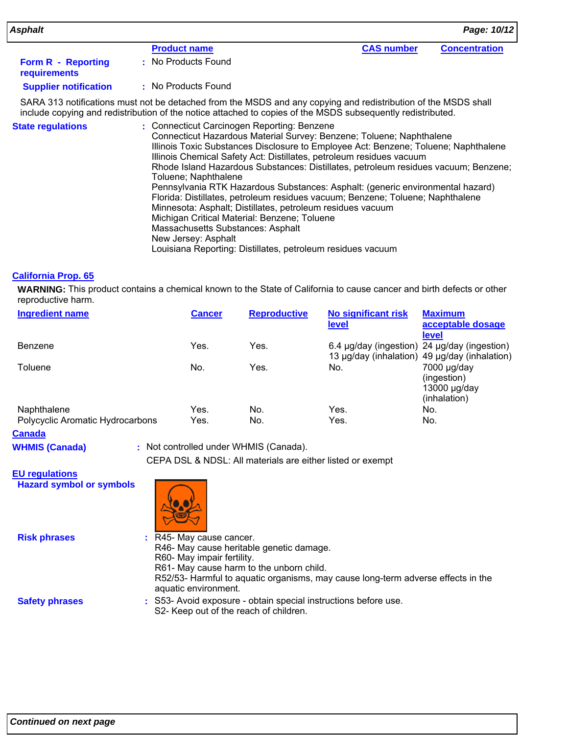| Asphalt                                          |                                                                                                                                                                                                                                                                                                                                                                                                   |                   | Page: 10/12          |
|--------------------------------------------------|---------------------------------------------------------------------------------------------------------------------------------------------------------------------------------------------------------------------------------------------------------------------------------------------------------------------------------------------------------------------------------------------------|-------------------|----------------------|
|                                                  | <b>Product name</b>                                                                                                                                                                                                                                                                                                                                                                               | <b>CAS number</b> | <b>Concentration</b> |
| <b>Form R - Reporting</b><br><b>requirements</b> | : No Products Found                                                                                                                                                                                                                                                                                                                                                                               |                   |                      |
| <b>Supplier notification</b>                     | : No Products Found                                                                                                                                                                                                                                                                                                                                                                               |                   |                      |
|                                                  | SARA 313 notifications must not be detached from the MSDS and any copying and redistribution of the MSDS shall<br>include copying and redistribution of the notice attached to copies of the MSDS subsequently redistributed.                                                                                                                                                                     |                   |                      |
| <b>State regulations</b>                         | : Connecticut Carcinogen Reporting: Benzene<br>Connecticut Hazardous Material Survey: Benzene; Toluene; Naphthalene<br>Illinois Toxic Substances Disclosure to Employee Act: Benzene; Toluene; Naphthalene<br>Illinois Chemical Safety Act: Distillates, petroleum residues vacuum<br>Rhode Island Hazardous Substances: Distillates, petroleum residues vacuum; Benzene;<br>Toluene; Naphthalene |                   |                      |

Pennsylvania RTK Hazardous Substances: Asphalt: (generic environmental hazard) Florida: Distillates, petroleum residues vacuum; Benzene; Toluene; Naphthalene Minnesota: Asphalt; Distillates, petroleum residues vacuum Michigan Critical Material: Benzene; Toluene Massachusetts Substances: Asphalt New Jersey: Asphalt

Louisiana Reporting: Distillates, petroleum residues vacuum

#### **California Prop. 65**

**WARNING:** This product contains a chemical known to the State of California to cause cancer and birth defects or other reproductive harm.

| <b>Ingredient name</b>           | <b>Cancer</b> | <b>Reproductive</b> | <b>No significant risk</b>                   | <b>Maximum</b>                                |
|----------------------------------|---------------|---------------------|----------------------------------------------|-----------------------------------------------|
|                                  |               |                     | <b>level</b>                                 | acceptable dosage                             |
|                                  |               |                     |                                              | level                                         |
| Benzene                          | Yes.          | Yes.                | 6.4 µg/day (ingestion) 24 µg/day (ingestion) |                                               |
|                                  |               |                     |                                              | 13 µg/day (inhalation) 49 µg/day (inhalation) |
| Toluene                          | No.           | Yes.                | No.                                          | 7000 µg/day                                   |
|                                  |               |                     |                                              | (ingestion)                                   |
|                                  |               |                     |                                              | $13000 \mu g/day$                             |
|                                  |               |                     |                                              | (inhalation)                                  |
| Naphthalene                      | Yes.          | No.                 | Yes.                                         | No.                                           |
| Polycyclic Aromatic Hydrocarbons | Yes.          | No.                 | Yes.                                         | No.                                           |

**Canada**

CEPA DSL & NDSL: All materials are either listed or exempt **WHMIS (Canada) :** Not controlled under WHMIS (Canada).

**EU regulations Hazard symbol or symbols**



**Risk phrases**

- R45- May cause cancer. **:** R46- May cause heritable genetic damage. R60- May impair fertility. R61- May cause harm to the unborn child. R52/53- Harmful to aquatic organisms, may cause long-term adverse effects in the aquatic environment.
- S53- Avoid exposure obtain special instructions before use. **:** S2- Keep out of the reach of children. **Safety phrases**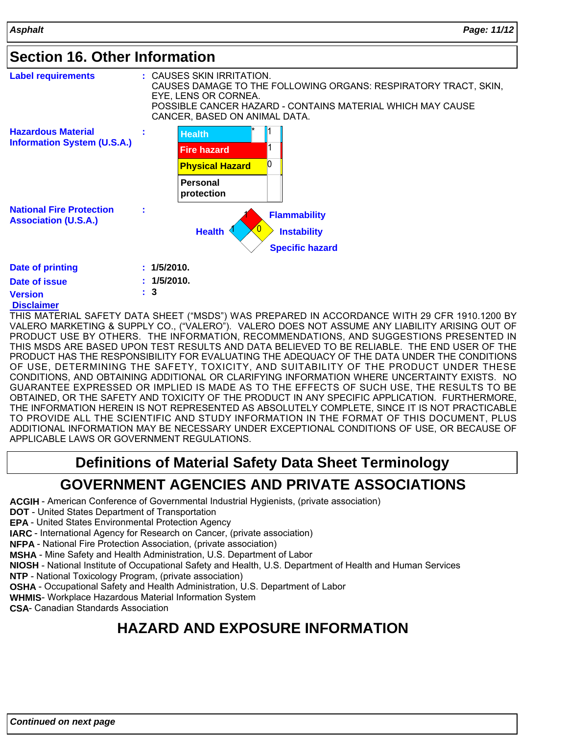### **Section 16. Other Information**

| <b>Label requirements</b>                                       |             | $:$ CAUSES SKIN IRRITATION.<br>EYE, LENS OR CORNEA.<br>CANCER, BASED ON ANIMAL DATA. | CAUSES DAMAGE TO THE FOLLOWING ORGANS: RESPIRATORY TRACT, SKIN,<br>POSSIBLE CANCER HAZARD - CONTAINS MATERIAL WHICH MAY CAUSE |
|-----------------------------------------------------------------|-------------|--------------------------------------------------------------------------------------|-------------------------------------------------------------------------------------------------------------------------------|
| <b>Hazardous Material</b><br><b>Information System (U.S.A.)</b> |             | <b>Health</b><br><b>Fire hazard</b><br><b>Physical Hazard</b>                        |                                                                                                                               |
|                                                                 |             | <b>Personal</b><br>protection                                                        |                                                                                                                               |
| <b>National Fire Protection</b><br><b>Association (U.S.A.)</b>  | t           | <b>Health</b>                                                                        | <b>Flammability</b><br><b>Instability</b>                                                                                     |
|                                                                 |             |                                                                                      | <b>Specific hazard</b>                                                                                                        |
| <b>Date of printing</b>                                         | : 1/5/2010. |                                                                                      |                                                                                                                               |
| Date of issue<br><b>Version</b>                                 | 3<br>÷      | 1/5/2010.                                                                            |                                                                                                                               |

#### **Disclaimer Version**

THIS MATERIAL SAFETY DATA SHEET ("MSDS") WAS PREPARED IN ACCORDANCE WITH 29 CFR 1910.1200 BY VALERO MARKETING & SUPPLY CO., ("VALERO"). VALERO DOES NOT ASSUME ANY LIABILITY ARISING OUT OF PRODUCT USE BY OTHERS. THE INFORMATION, RECOMMENDATIONS, AND SUGGESTIONS PRESENTED IN THIS MSDS ARE BASED UPON TEST RESULTS AND DATA BELIEVED TO BE RELIABLE. THE END USER OF THE PRODUCT HAS THE RESPONSIBILITY FOR EVALUATING THE ADEQUACY OF THE DATA UNDER THE CONDITIONS OF USE, DETERMINING THE SAFETY, TOXICITY, AND SUITABILITY OF THE PRODUCT UNDER THESE CONDITIONS, AND OBTAINING ADDITIONAL OR CLARIFYING INFORMATION WHERE UNCERTAINTY EXISTS. NO GUARANTEE EXPRESSED OR IMPLIED IS MADE AS TO THE EFFECTS OF SUCH USE, THE RESULTS TO BE OBTAINED, OR THE SAFETY AND TOXICITY OF THE PRODUCT IN ANY SPECIFIC APPLICATION. FURTHERMORE, THE INFORMATION HEREIN IS NOT REPRESENTED AS ABSOLUTELY COMPLETE, SINCE IT IS NOT PRACTICABLE TO PROVIDE ALL THE SCIENTIFIC AND STUDY INFORMATION IN THE FORMAT OF THIS DOCUMENT, PLUS ADDITIONAL INFORMATION MAY BE NECESSARY UNDER EXCEPTIONAL CONDITIONS OF USE, OR BECAUSE OF APPLICABLE LAWS OR GOVERNMENT REGULATIONS.

# **Definitions of Material Safety Data Sheet Terminology GOVERNMENT AGENCIES AND PRIVATE ASSOCIATIONS**

**ACGIH** - American Conference of Governmental Industrial Hygienists, (private association)

**DOT** - United States Department of Transportation

**EPA** - United States Environmental Protection Agency

**IARC** - International Agency for Research on Cancer, (private association)

**NFPA** - National Fire Protection Association, (private association)

**MSHA** - Mine Safety and Health Administration, U.S. Department of Labor

**NIOSH** - National Institute of Occupational Safety and Health, U.S. Department of Health and Human Services

**NTP** - National Toxicology Program, (private association)

**OSHA** - Occupational Safety and Health Administration, U.S. Department of Labor

**WHMIS**- Workplace Hazardous Material Information System

**CSA**- Canadian Standards Association

# **HAZARD AND EXPOSURE INFORMATION**